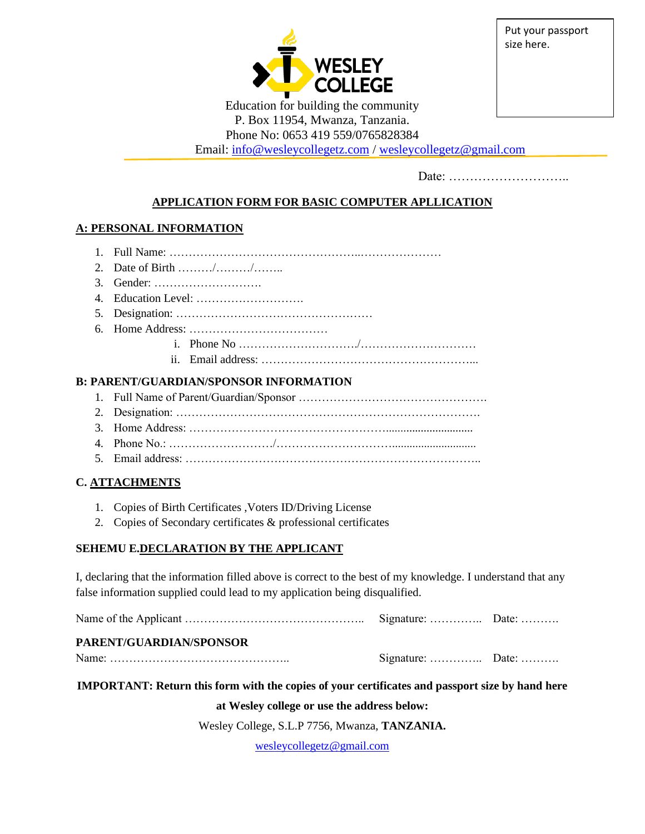

Put your passport size here.

Education for building the community P. Box 11954, Mwanza, Tanzania.

Phone No: 0653 419 559/0765828384

Email: [info@wesleycollegetz.com](mailto:info@wesleycollegetz.com) / [wesleycollegetz@gmail.com](mailto:wesleycollegetz@gmail.com)

Date: ………………………..

## **APPLICATION FORM FOR BASIC COMPUTER APLLICATION**

## **A: PERSONAL INFORMATION**

- 1. Full Name: …………………………………………..…………………
- 2. Date of Birth ………/………/……..
- 3. Gender: ……………………….
- 4. Education Level: ……………………….
- 5. Designation: ……………………………………………
- 6. Home Address: ………………………………
	- i. Phone No …………………………./…………………………
	- ii. Email address: ………………………………………………...

## **B: PARENT/GUARDIAN/SPONSOR INFORMATION**

- 1. Full Name of Parent/Guardian/Sponsor ………………………………………….
- 2. Designation: …………………………………………………………………….
- 3. Home Address: ……………………………………………..............................
- 4. Phone No.: ………………………/………………………….............................
- 5. Email address: …………………………………………………………………..

## **C. ATTACHMENTS**

- 1. Copies of Birth Certificates ,Voters ID/Driving License
- 2. Copies of Secondary certificates & professional certificates

#### **SEHEMU E.DECLARATION BY THE APPLICANT**

I, declaring that the information filled above is correct to the best of my knowledge. I understand that any false information supplied could lead to my application being disqualified.

Name of the Applicant ……………………………………….. Signature: ………….. Date: ………. **PARENT/GUARDIAN/SPONSOR**

Name: ……………………………………….. Signature: ………….. Date: ……….

**IMPORTANT: Return this form with the copies of your certificates and passport size by hand here** 

**at Wesley college or use the address below:**

Wesley College, S.L.P 7756, Mwanza, **TANZANIA.**

[wesleycollegetz@gmail.com](mailto:wesleycollegetz@gmail.com)